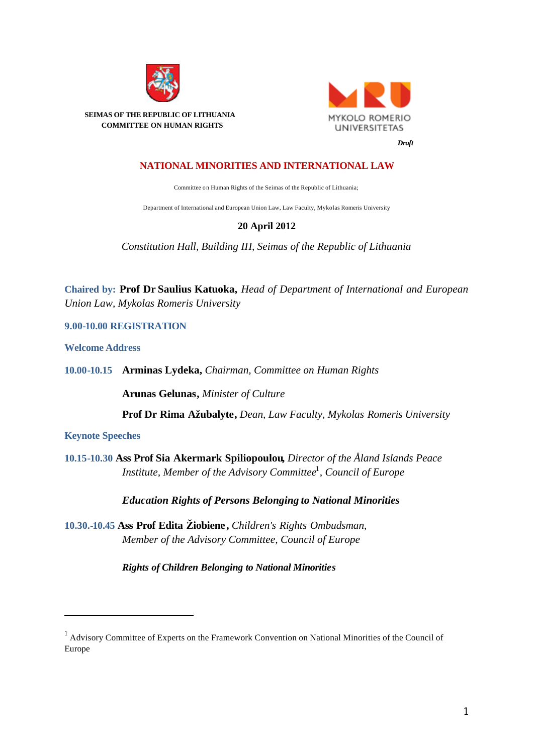

**MYKOLO ROMERIO UNIVERSITETAS** 

 **SEIMAS OF THE REPUBLIC OF LITHUANIA COMMITTEE ON HUMAN RIGHTS**

## *Draft*

## **NATIONAL MINORITIES AND INTERNATIONAL LAW**

Committee on Human Rights of the Seimas of the Republic of Lithuania;

Department of International and European Union Law, Law Faculty, Mykolas Romeris University

## **20 April 2012**

*Constitution Hall, Building III, Seimas of the Republic of Lithuania*

**Chaired by: Prof Dr Saulius Katuoka,** *Head of Department of International and European Union Law, Mykolas Romeris University*

**9.00-10.00 REGISTRATION**

**Welcome Address** 

**10.00-10.15 Arminas Lydeka,** *Chairman, Committee on Human Rights*

**Arunas Gelunas,** *Minister of Culture* 

**Prof Dr Rima Ažubalyte,** *Dean, Law Faculty, Mykolas Romeris University* 

**Keynote Speeches**

l

**10.15-10.30 Ass Prof Sia Akermark Spiliopoulou,** *Director of the Åland Islands Peace Institute, Member of the Advisory Committee*<sup>1</sup> *, Council of Europe* 

*Education Rights of Persons Belonging to National Minorities*

**10.30.-10.45 Ass Prof Edita Žiobiene,** *Children's Rights Ombudsman, Member of the Advisory Committee, Council of Europe*

*Rights of Children Belonging to National Minorities*

<sup>1</sup> Advisory Committee of Experts on the Framework Convention on National Minorities of the Council of Europe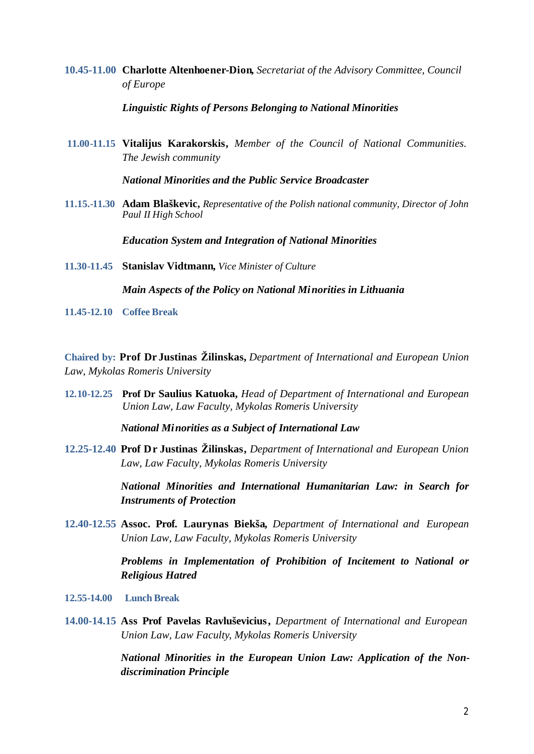**10.45-11.00 Charlotte Altenhoener-Dion,** *Secretariat of the Advisory Committee, Council of Europe*

## *Linguistic Rights of Persons Belonging to National Minorities*

**11.00-11.15 Vitalijus Karakorskis,** *Member of the Council of National Communities. The Jewish community* 

*National Minorities and the Public Service Broadcaster*

**11.15.-11.30 Adam Blaškevic,** *Representative of the Polish national community, Director of John Paul II High School*

*Education System and Integration of National Minorities* 

**11.30-11.45 Stanislav Vidtmann,** *Vice Minister of Culture*

*Main Aspects of the Policy on National Minorities in Lithuania*

**11.45-12.10 Coffee Break**

**Chaired by: Prof Dr Justinas Žilinskas,** *Department of International and European Union Law, Mykolas Romeris University*

**12.10-12.25 Prof Dr Saulius Katuoka,** *Head of Department of International and European Union Law, Law Faculty, Mykolas Romeris University*

*National Minorities as a Subject of International Law*

**12.25-12.40 Prof Dr Justinas Žilinskas,** *Department of International and European Union Law, Law Faculty, Mykolas Romeris University*

> *National Minorities and International Humanitarian Law: in Search for Instruments of Protection*

**12.40-12.55 Assoc. Prof. Laurynas Biekša,** *Department of International and European Union Law, Law Faculty, Mykolas Romeris University*

> *Problems in Implementation of Prohibition of Incitement to National or Religious Hatred*

- **12.55-14.00 Lunch Break**
- **14.00-14.15 Ass Prof Pavelas Ravluševicius,** *Department of International and European Union Law, Law Faculty*, *Mykolas Romeris University*

*National Minorities in the European Union Law: Application of the Nondiscrimination Principle*